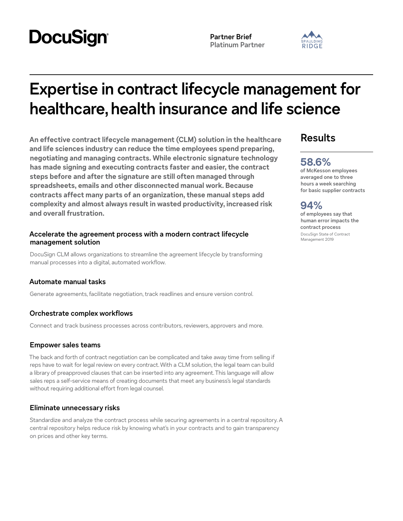# **DocuSign**

**Partner Brief Platinum Partner**



## **Expertise in contract lifecycle management for healthcare, health insurance and life science**

**An effective contract lifecycle management (CLM) solution in the healthcare and life sciences industry can reduce the time employees spend preparing, negotiating and managing contracts. While electronic signature technology has made signing and executing contracts faster and easier, the contract steps before and after the signature are still often managed through spreadsheets, emails and other disconnected manual work. Because contracts affect many parts of an organization, these manual steps add complexity and almost always result in wasted productivity, increased risk and overall frustration.**

#### **Accelerate the agreement process with a modern contract lifecycle management solution**

DocuSign CLM allows organizations to streamline the agreement lifecycle by transforming manual processes into a digital, automated workflow.

#### **Automate manual tasks**

Generate agreements, facilitate negotiation, track readlines and ensure version control.

#### **Orchestrate complex workflows**

Connect and track business processes across contributors, reviewers, approvers and more.

#### **Empower sales teams**

The back and forth of contract negotiation can be complicated and take away time from selling if reps have to wait for legal review on every contract. With a CLM solution, the legal team can build a library of preapproved clauses that can be inserted into any agreement. This language will allow sales reps a self-service means of creating documents that meet any business's legal standards without requiring additional effort from legal counsel.

#### **Eliminate unnecessary risks**

Standardize and analyze the contract process while securing agreements in a central repository. A central repository helps reduce risk by knowing what's in your contracts and to gain transparency on prices and other key terms.

## **Results**

## **58.6%**

**of McKesson employees averaged one to three hours a week searching for basic supplier contracts**

### **94%**

**of employees say that human error impacts the contract process** DocuSign State of Contract Management 2019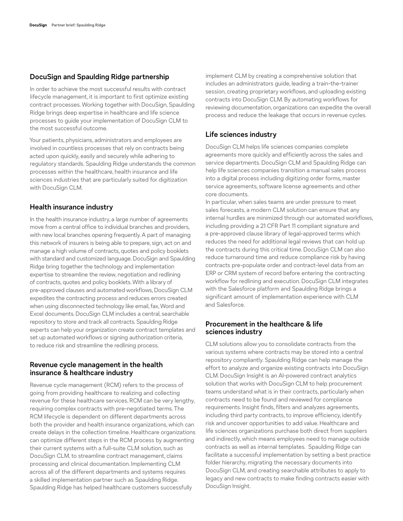#### **DocuSign and Spaulding Ridge partnership**

In order to achieve the most successful results with contract lifecycle management, it is important to first optimize existing contract processes. Working together with DocuSign, Spaulding Ridge brings deep expertise in healthcare and life science processes to guide your implementation of DocuSign CLM to the most successful outcome.

Your patients, physicians, administrators and employees are involved in countless processes that rely on contracts being acted upon quickly, easily and securely while adhering to regulatory standards. Spaulding Ridge understands the common processes within the healthcare, health insurance and life sciences industries that are particularly suited for digitization with DocuSign CLM.

#### **Health insurance industry**

In the health insurance industry, a large number of agreements move from a central office to individual branches and providers, with new local branches opening frequently. A part of managing this network of insurers is being able to prepare, sign, act on and manage a high volume of contracts, quotes and policy booklets with standard and customized language. DocuSign and Spaulding Ridge bring together the technology and implementation expertise to streamline the review, negotiation and redlining of contracts, quotes and policy booklets. With a library of pre-approved clauses and automated workflows, DocuSign CLM expedites the contracting process and reduces errors created when using disconnected technology like email, fax, Word and Excel documents. DocuSign CLM includes a central, searchable repository to store and track all contracts. Spaulding Ridge experts can help your organization create contract templates and set up automated workflows or signing authorization criteria, to reduce risk and streamline the redlining process.

#### **Revenue cycle management in the health insurance & healthcare industry**

Revenue cycle management (RCM) refers to the process of going from providing healthcare to realizing and collecting revenue for these healthcare services. RCM can be very lengthy, requiring complex contracts with pre-negotiated terms. The RCM lifecycle is dependent on different departments across both the provider and health insurance organizations, which can create delays in the collection timeline. Healthcare organizations can optimize different steps in the RCM process by augmenting their current systems with a full-suite CLM solution, such as DocuSign CLM, to streamline contract management, claims processing and clinical documentation. Implementing CLM across all of the different departments and systems requires a skilled implementation partner such as Spaulding Ridge. Spaulding Ridge has helped healthcare customers successfully

implement CLM by creating a comprehensive solution that includes an administrators guide, leading a train-the-trainer session, creating proprietary workflows, and uploading existing contracts into DocuSign CLM. By automating workflows for reviewing documentation, organizations can expedite the overall process and reduce the leakage that occurs in revenue cycles.

#### **Life sciences industry**

DocuSign CLM helps life sciences companies complete agreements more quickly and efficiently across the sales and service departments. DocuSign CLM and Spaulding Ridge can help life sciences companies transition a manual sales process into a digital process including digitizing order forms, master service agreements, software license agreements and other core documents.

In particular, when sales teams are under pressure to meet sales forecasts, a modern CLM solution can ensure that any internal hurdles are minimized through our automated workflows, including providing a 21 CFR Part 11 compliant signature and a pre-approved clause library of legal-approved terms which reduces the need for additional legal reviews that can hold up the contracts during this critical time. DocuSign CLM can also reduce turnaround time and reduce compliance risk by having contracts pre-populate order and contract-level data from an ERP or CRM system of record before entering the contracting workflow for redlining and execution. DocuSign CLM integrates with the Salesforce platform and Spaulding Ridge brings a significant amount of implementation experience with CLM and Salesforce.

#### **Procurement in the healthcare & life sciences industry**

CLM solutions allow you to consolidate contracts from the various systems where contracts may be stored into a central repository compliantly. Spaulding Ridge can help manage the effort to analyze and organize existing contracts into DocuSign CLM. DocuSign Insight is an AI-powered contract analytics solution that works with DocuSign CLM to help procurement teams understand what is in their contracts, particularly when contracts need to be found and reviewed for compliance requirements. Insight finds, filters and analyzes agreements, including third party contracts, to improve efficiency, identify risk and uncover opportunities to add value. Healthcare and life sciences organizations purchase both direct from suppliers and indirectly, which means employees need to manage outside contracts as well as internal templates. Spaulding Ridge can facilitate a successful implementation by setting a best practice folder hierarchy, migrating the necessary documents into DocuSign CLM, and creating searchable attributes to apply to legacy and new contracts to make finding contracts easier with DocuSign Insight.